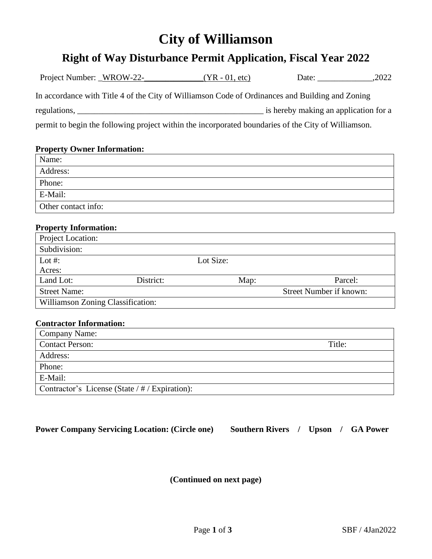# **City of Williamson**

## **Right of Way Disturbance Permit Application, Fiscal Year 2022**

|                                             |                                                | In accordance with Title 4 of the City of Williamson Code of Ordinances and Building and Zoning     |                         |         |
|---------------------------------------------|------------------------------------------------|-----------------------------------------------------------------------------------------------------|-------------------------|---------|
|                                             |                                                |                                                                                                     |                         |         |
|                                             |                                                |                                                                                                     |                         |         |
|                                             |                                                | permit to begin the following project within the incorporated boundaries of the City of Williamson. |                         |         |
|                                             |                                                |                                                                                                     |                         |         |
| <b>Property Owner Information:</b><br>Name: |                                                |                                                                                                     |                         |         |
|                                             |                                                |                                                                                                     |                         |         |
| Address:                                    |                                                |                                                                                                     |                         |         |
| Phone:                                      |                                                |                                                                                                     |                         |         |
| E-Mail:                                     |                                                |                                                                                                     |                         |         |
| Other contact info:                         |                                                |                                                                                                     |                         |         |
|                                             |                                                |                                                                                                     |                         |         |
| <b>Property Information:</b>                |                                                |                                                                                                     |                         |         |
| Project Location:                           |                                                |                                                                                                     |                         |         |
| Subdivision:                                |                                                |                                                                                                     |                         |         |
| Lot $#$ :                                   |                                                | Lot Size:                                                                                           |                         |         |
| Acres:                                      |                                                |                                                                                                     |                         |         |
| Land Lot:                                   | District:                                      | Map:                                                                                                |                         | Parcel: |
| <b>Street Name:</b>                         |                                                |                                                                                                     | Street Number if known: |         |
| Williamson Zoning Classification:           |                                                |                                                                                                     |                         |         |
|                                             |                                                |                                                                                                     |                         |         |
| <b>Contractor Information:</b>              |                                                |                                                                                                     |                         |         |
| Company Name:                               |                                                |                                                                                                     |                         |         |
| <b>Contact Person:</b>                      |                                                |                                                                                                     |                         | Title:  |
| Address:                                    |                                                |                                                                                                     |                         |         |
| Phone:                                      |                                                |                                                                                                     |                         |         |
| E-Mail:                                     |                                                |                                                                                                     |                         |         |
|                                             | Contractor's License (State / # / Expiration): |                                                                                                     |                         |         |
|                                             |                                                |                                                                                                     |                         |         |

**Power Company Servicing Location: (Circle one) Southern Rivers / Upson / GA Power**

**(Continued on next page)**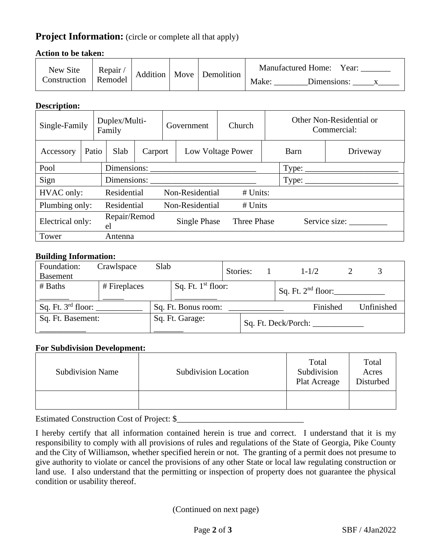### **Project Information:** (circle or complete all that apply)

#### **Action to be taken:**

| New Site<br>Construction | Repair/<br>Remodel | Addition |  | Move Demolition | <b>Manufactured Home:</b><br>Year: |  |  |
|--------------------------|--------------------|----------|--|-----------------|------------------------------------|--|--|
|                          |                    |          |  |                 | Make:<br>Dimensions:               |  |  |

#### **Description:**

| Single-Family    |       | Duplex/Multi-<br>Family |                                                                                                          | Government                 |  | Church            |                                                  |             | Other Non-Residential or<br>Commercial: |               |  |
|------------------|-------|-------------------------|----------------------------------------------------------------------------------------------------------|----------------------------|--|-------------------|--------------------------------------------------|-------------|-----------------------------------------|---------------|--|
| Accessory        | Patio |                         | Slab                                                                                                     | Carport                    |  | Low Voltage Power |                                                  | Barn        | Driveway                                |               |  |
| Pool             |       |                         | Dimensions:<br>the control of the control of the control of the control of the control of the control of |                            |  |                   |                                                  |             | Type:                                   |               |  |
| Sign             |       |                         | Dimensions:                                                                                              |                            |  |                   | $Type: \_\_\_\_\_\_\_\_\_\_\_\_\_\_\_\_\_\_\_\_$ |             |                                         |               |  |
| HVAC only:       |       |                         | Residential<br>Non-Residential<br>$#$ Units:                                                             |                            |  |                   |                                                  |             |                                         |               |  |
| Plumbing only:   |       |                         | Residential                                                                                              | Non-Residential<br># Units |  |                   |                                                  |             |                                         |               |  |
| Electrical only: |       |                         | Repair/Remod<br>el                                                                                       |                            |  | Single Phase      |                                                  | Three Phase |                                         | Service size: |  |
| Tower            |       |                         | Antenna                                                                                                  |                            |  |                   |                                                  |             |                                         |               |  |

#### **Building Information:**

| Foundation:<br><b>Basement</b> | Crawlspace   | Slab |                      | Stories: |  | $1 - 1/2$            |            |
|--------------------------------|--------------|------|----------------------|----------|--|----------------------|------------|
| # Baths                        | # Fireplaces |      | Sq. Ft. $1st$ floor: |          |  | Sq. Ft. $2nd$ floor: |            |
| Sq. Ft. $3^{rd}$ floor:        |              |      | Sq. Ft. Bonus room:  |          |  | Finished             | Unfinished |
| Sq. Ft. Basement:              |              |      | Sq. Ft. Garage:      |          |  | Sq. Ft. Deck/Porch:  |            |

#### **For Subdivision Development:**

| <b>Subdivision Name</b> | <b>Subdivision Location</b> | Total<br>Subdivision<br>Plat Acreage | Total<br>Acres<br>Disturbed |
|-------------------------|-----------------------------|--------------------------------------|-----------------------------|
|                         |                             |                                      |                             |

Estimated Construction Cost of Project: \$\_\_\_\_\_\_\_\_\_\_\_\_\_\_\_\_\_\_\_\_\_\_\_\_\_\_\_\_\_\_

I hereby certify that all information contained herein is true and correct. I understand that it is my responsibility to comply with all provisions of rules and regulations of the State of Georgia, Pike County and the City of Williamson, whether specified herein or not. The granting of a permit does not presume to give authority to violate or cancel the provisions of any other State or local law regulating construction or land use. I also understand that the permitting or inspection of property does not guarantee the physical condition or usability thereof.